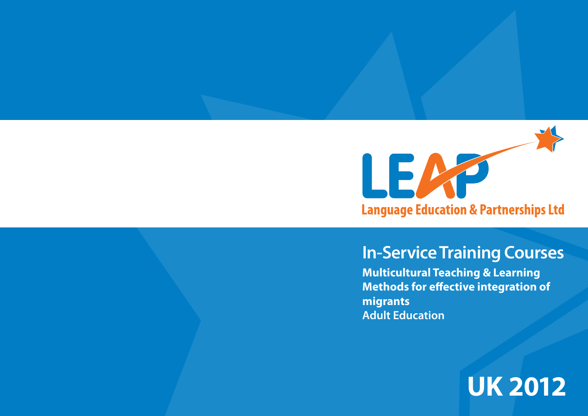

# **In-Service Training Courses**

**Multicultural Teaching & Learning Methods for effective integration of migrants Adult Education**

**UK 2012**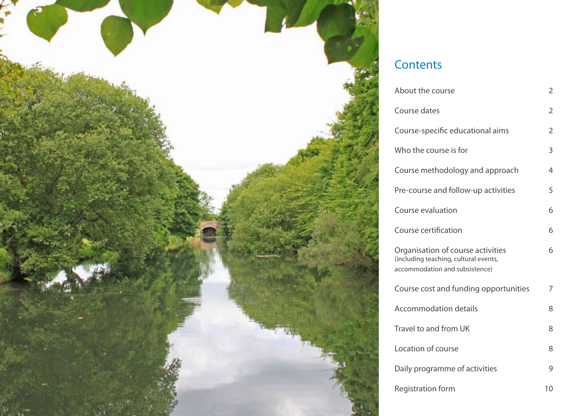

# **Contents**

| About the course                                                                                             | 2  |
|--------------------------------------------------------------------------------------------------------------|----|
| Course dates                                                                                                 | 2  |
| Course-specific educational aims                                                                             | 2  |
| Who the course is for                                                                                        | 3  |
| Course methodology and approach                                                                              | 4  |
| Pre-course and follow-up activities                                                                          | 5  |
| Course evaluation                                                                                            | 6  |
| Course certification                                                                                         | 6  |
| Organisation of course activities<br>(including teaching, cultural events,<br>accommodation and subsistence) | 6  |
| Course cost and funding opportunities                                                                        | 7  |
| <b>Accommodation details</b>                                                                                 | 8  |
| Travel to and from UK                                                                                        | 8  |
| Location of course                                                                                           | 8  |
| Daily programme of activities                                                                                | 9  |
| <b>Registration form</b>                                                                                     | 10 |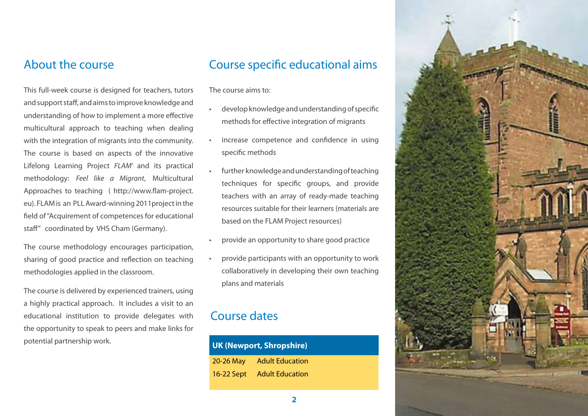This full-week course is designed for teachers, tutors and support staff, and aims to improve knowledge and understanding of how to implement a more effective multicultural approach to teaching when dealing with the integration of migrants into the community. The course is based on aspects of the innovative Lifelong Learning Project *FLAM*' and its practical methodology: *Feel like a Migrant*, Multicultural Approaches to teaching ( http://www.flam-project. eu). FLAM is an PLL Award-winning 2011project in the field of "Acquirement of competences for educational staff" coordinated by VHS Cham (Germany).

The course methodology encourages participation, sharing of good practice and reflection on teaching methodologies applied in the classroom.

The course is delivered by experienced trainers, using a highly practical approach. It includes a visit to an educational institution to provide delegates with the opportunity to speak to peers and make links for potential partnership work.

#### About the course **Course** Course specific educational aims

The course aims to:

- develop knowledge and understanding of specific methods for effective integration of migrants
- increase competence and confidence in using specific methods
- further knowledge and understanding of teaching techniques for specific groups, and provide teachers with an array of ready-made teaching resources suitable for their learners (materials are based on the FLAM Project resources)
- provide an opportunity to share good practice
- provide participants with an opportunity to work collaboratively in developing their own teaching plans and materials

#### Course dates

| UK (Newport, Shropshire) |                        |  |
|--------------------------|------------------------|--|
| 20-26 May                | <b>Adult Education</b> |  |
| 16-22 Sept               | <b>Adult Education</b> |  |

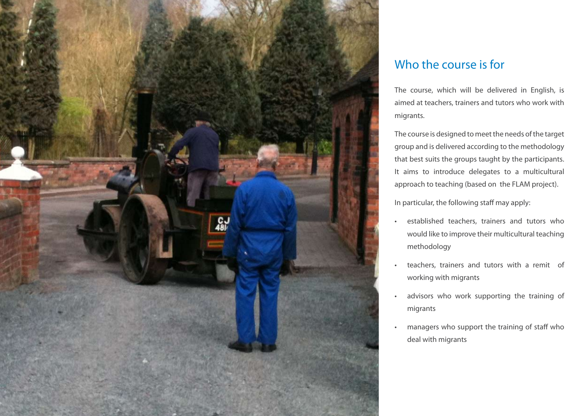

## Who the course is for

The course, which will be delivered in English, is aimed at teachers, trainers and tutors who work with migrants.

The course is designed to meet the needs of the target group and is delivered according to the methodology that best suits the groups taught by the participants. It aims to introduce delegates to a multicultural approach to teaching (based on the FLAM project).

In particular, the following staff may apply:

- • established teachers, trainers and tutors who would like to improve their multicultural teaching methodology
- teachers, trainers and tutors with a remit of working with migrants
- • advisors who work supporting the training of migrants
- managers who support the training of staff who deal with migrants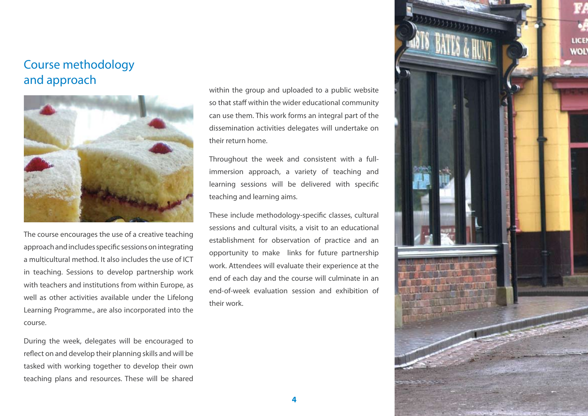#### Course methodology and approach



The course encourages the use of a creative teaching approach and includes specific sessions on integrating a multicultural method. It also includes the use of ICT in teaching. Sessions to develop partnership work with teachers and institutions from within Europe, as well as other activities available under the Lifelong Learning Programme., are also incorporated into the course.

During the week, delegates will be encouraged to reflect on and develop their planning skills and will be tasked with working together to develop their own teaching plans and resources. These will be shared within the group and uploaded to a public website so that staff within the wider educational community can use them. This work forms an integral part of the dissemination activities delegates will undertake on their return home.

Throughout the week and consistent with a fullimmersion approach, a variety of teaching and learning sessions will be delivered with specific teaching and learning aims.

These include methodology-specific classes, cultural sessions and cultural visits, a visit to an educational establishment for observation of practice and an opportunity to make links for future partnership work. Attendees will evaluate their experience at the end of each day and the course will culminate in an end-of-week evaluation session and exhibition of their work.

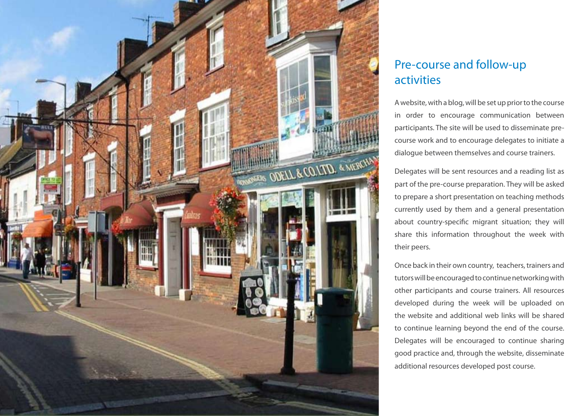

## Pre-course and follow-up activities

A website, with a blog, will be set up prior to the course in order to encourage communication between participants. The site will be used to disseminate precourse work and to encourage delegates to initiate a dialogue between themselves and course trainers.

Delegates will be sent resources and a reading list as part of the pre-course preparation. They will be asked to prepare a short presentation on teaching methods currently used by them and a general presentation about country-specific migrant situation; they will share this information throughout the week with their peers.

Once back in their own country, teachers, trainers and tutors will be encouraged to continue networking with other participants and course trainers. All resources developed during the week will be uploaded on the website and additional web links will be shared to continue learning beyond the end of the course. Delegates will be encouraged to continue sharing good practice and, through the website, disseminate additional resources developed post course.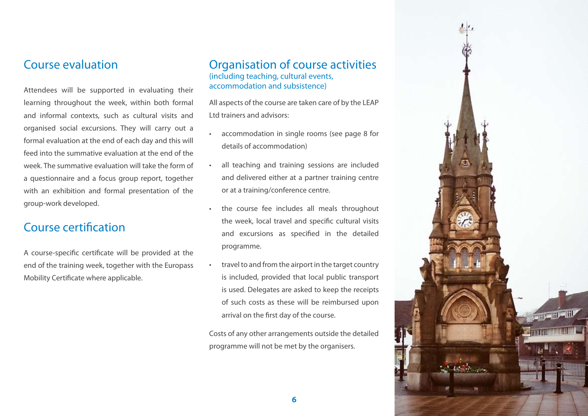

#### Course evaluation

Attendees will be supported in evaluating their learning throughout the week, within both formal and informal contexts, such as cultural visits and organised social excursions. They will carry out a formal evaluation at the end of each day and this will feed into the summative evaluation at the end of the week. The summative evaluation will take the form of a questionnaire and a focus group report, together with an exhibition and formal presentation of the group-work developed.

#### Course certification

A course-specific certificate will be provided at the end of the training week, together with the Europass Mobility Certificate where applicable.

#### Organisation of course activities (including teaching, cultural events, accommodation and subsistence)

All aspects of the course are taken care of by the LEAP Ltd trainers and advisors:

- accommodation in single rooms (see page 8 for details of accommodation)
- all teaching and training sessions are included and delivered either at a partner training centre or at a training/conference centre.
- the course fee includes all meals throughout the week, local travel and specific cultural visits and excursions as specified in the detailed programme.
- travel to and from the airport in the target country is included, provided that local public transport is used. Delegates are asked to keep the receipts of such costs as these will be reimbursed upon arrival on the first day of the course.

Costs of any other arrangements outside the detailed programme will not be met by the organisers.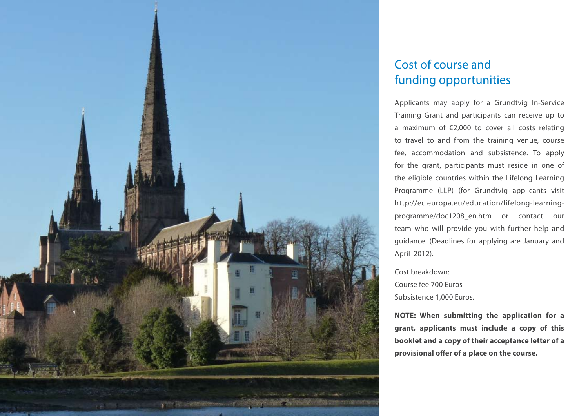

### Cost of course and funding opportunities

Applicants may apply for a Grundtvig In-Service Training Grant and participants can receive up to a maximum of €2,000 to cover all costs relating to travel to and from the training venue, course fee, accommodation and subsistence. To apply for the grant, participants must reside in one of the eligible countries within the Lifelong Learning Programme (LLP) (for Grundtvig applicants visit http://ec.europa.eu/education/lifelong-learningprogramme/doc1208\_en.htm or contact our team who will provide you with further help and guidance. (Deadlines for applying are January and April 2012).

Cost breakdown: Course fee 700 Euros Subsistence 1,000 Euros.

**NOTE: When submitting the application for a grant, applicants must include a copy of this booklet and a copy of their acceptance letter of a provisional offer of a place on the course.**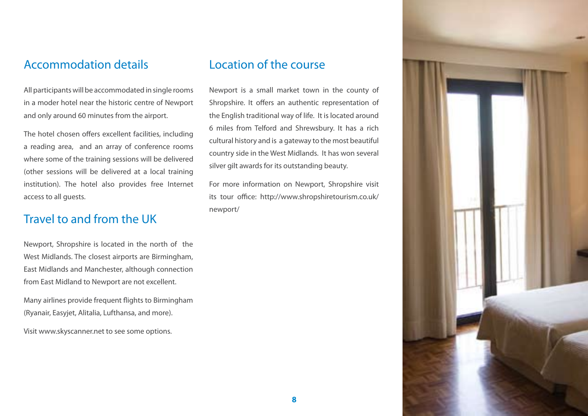#### Accommodation details

All participants will be accommodated in single rooms in a moder hotel near the historic centre of Newport and only around 60 minutes from the airport.

The hotel chosen offers excellent facilities, including a reading area, and an array of conference rooms where some of the training sessions will be delivered (other sessions will be delivered at a local training institution). The hotel also provides free Internet access to all guests.

#### Travel to and from the UK

Newport, Shropshire is located in the north of the West Midlands. The closest airports are Birmingham, East Midlands and Manchester, although connection from East Midland to Newport are not excellent.

Many airlines provide frequent flights to Birmingham (Ryanair, Easyjet, Alitalia, Lufthansa, and more).

Visit www.skyscanner.net to see some options.

#### Location of the course

Newport is a small market town in the county of Shropshire. It offers an authentic representation of the English traditional way of life. It is located around 6 miles from Telford and Shrewsbury. It has a rich cultural history and is a gateway to the most beautiful country side in the West Midlands. It has won several silver gilt awards for its outstanding beauty.

For more information on Newport, Shropshire visit its tour office: http://www.shropshiretourism.co.uk/ newport/

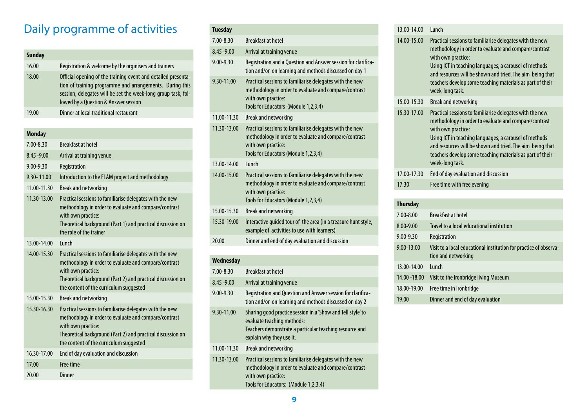# Daily programme of activities

| <b>Sunday</b> |                                                                                                                                                                                                                                    |
|---------------|------------------------------------------------------------------------------------------------------------------------------------------------------------------------------------------------------------------------------------|
| 16.00         | Registration & welcome by the orginisers and trainers                                                                                                                                                                              |
| 18.00         | Official opening of the training event and detailed presenta-<br>tion of training programme and arrangements. During this<br>session, delegates will be set the week-long group task, fol-<br>lowed by a Question & Answer session |
| 19.00         | Dinner at local traditional restaurant                                                                                                                                                                                             |

#### **Monday**

| $7.00 - 8.30$  | <b>Breakfast at hotel</b>                                                                                                                                                                                                                         |
|----------------|---------------------------------------------------------------------------------------------------------------------------------------------------------------------------------------------------------------------------------------------------|
| $8.45 - 9.00$  | Arrival at training venue                                                                                                                                                                                                                         |
| $9.00 - 9.30$  | Registration                                                                                                                                                                                                                                      |
| $9.30 - 11.00$ | Introduction to the FLAM project and methodology                                                                                                                                                                                                  |
| 11.00-11.30    | <b>Break and networking</b>                                                                                                                                                                                                                       |
| 11.30-13.00    | Practical sessions to familiarise delegates with the new<br>methodology in order to evaluate and compare/contrast<br>with own practice:<br>Theoretical background (Part 1) and practical discussion on<br>the role of the trainer                 |
| 13.00-14.00    | <b>lunch</b>                                                                                                                                                                                                                                      |
| 14.00-15.30    | Practical sessions to familiarise delegates with the new<br>methodology in order to evaluate and compare/contrast<br>with own practice:<br>Theoretical background (Part 2) and practical discussion on<br>the content of the curriculum suggested |
| 15.00-15.30    | <b>Break and networking</b>                                                                                                                                                                                                                       |
| 15.30-16.30    | Practical sessions to familiarise delegates with the new<br>methodology in order to evaluate and compare/contrast<br>with own practice:<br>Theoretical background (Part 2) and practical discussion on<br>the content of the curriculum suggested |
| 16.30-17.00    | End of day evaluation and discussion                                                                                                                                                                                                              |
| 17.00          | Free time                                                                                                                                                                                                                                         |
| 20.00          | Dinner                                                                                                                                                                                                                                            |

|  | <b>Tuesday</b> |                                                                                                                                                                                 |
|--|----------------|---------------------------------------------------------------------------------------------------------------------------------------------------------------------------------|
|  | $7.00 - 8.30$  | <b>Breakfast at hotel</b>                                                                                                                                                       |
|  | $8.45 - 9.00$  | Arrival at training venue                                                                                                                                                       |
|  | $9.00 - 9.30$  | Registration and a Question and Answer session for clarifica-<br>tion and/or on learning and methods discussed on day 1                                                         |
|  | 9.30-11.00     | Practical sessions to familiarise delegates with the new<br>methodology in order to evaluate and compare/contrast<br>with own practice:<br>Tools for Educators (Module 1,2,3,4) |
|  | 11.00-11.30    | Break and networking                                                                                                                                                            |
|  | 11.30-13.00    | Practical sessions to familiarise delegates with the new<br>methodology in order to evaluate and compare/contrast<br>with own practice:<br>Tools for Educators (Module 1,2,3,4) |
|  | 13 00-14 00    | Lunch                                                                                                                                                                           |
|  | 14.00-15.00    | Practical sessions to familiarise delegates with the new<br>methodology in order to evaluate and compare/contrast<br>with own practice:<br>Tools for Educators (Module 1,2,3,4) |
|  | 15.00-15.30    | Break and networking                                                                                                                                                            |
|  | 15.30-19.00    | Interactive guided tour of the area (in a treasure hunt style,<br>example of activities to use with learners)                                                                   |
|  | 20.00          | Dinner and end of day evaluation and discussion                                                                                                                                 |
|  |                |                                                                                                                                                                                 |

#### **Wednesday**

| <b>Breakfast at hotel</b>                                                                                                                                                        |
|----------------------------------------------------------------------------------------------------------------------------------------------------------------------------------|
| Arrival at training venue                                                                                                                                                        |
| Registration and Question and Answer session for clarifica-<br>tion and/or on learning and methods discussed on day 2                                                            |
| Sharing good practice session in a 'Show and Tell style' to<br>evaluate teaching methods:<br>Teachers demonstrate a particular teaching resource and<br>explain why they use it. |
| <b>Break and networking</b>                                                                                                                                                      |
| Practical sessions to familiarise delegates with the new<br>methodology in order to evaluate and compare/contrast<br>with own practice:<br>Tools for Educators: (Module 1,2,3,4) |
|                                                                                                                                                                                  |

#### 13.00-14.00 Lunch

| 14.00-15.00     | Practical sessions to familiarise delegates with the new<br>methodology in order to evaluate and compare/contrast<br>with own practice:<br>Using ICT in teaching languages; a carousel of methods<br>and resources will be shown and tried. The aim being that<br>teachers develop some teaching materials as part of their<br>week-long task. |
|-----------------|------------------------------------------------------------------------------------------------------------------------------------------------------------------------------------------------------------------------------------------------------------------------------------------------------------------------------------------------|
| 15.00-15.30     | <b>Break and networking</b>                                                                                                                                                                                                                                                                                                                    |
| 15.30-17.00     | Practical sessions to familiarise delegates with the new<br>methodology in order to evaluate and compare/contrast<br>with own practice:<br>Using ICT in teaching languages; a carousel of methods<br>and resources will be shown and tried. The aim being that<br>teachers develop some teaching materials as part of their<br>week-long task. |
| 17.00-17.30     | End of day evaluation and discussion                                                                                                                                                                                                                                                                                                           |
| 17.30           | Free time with free evening                                                                                                                                                                                                                                                                                                                    |
|                 |                                                                                                                                                                                                                                                                                                                                                |
| <b>Thursday</b> |                                                                                                                                                                                                                                                                                                                                                |
|                 |                                                                                                                                                                                                                                                                                                                                                |

| Thursday      |                                                                                          |
|---------------|------------------------------------------------------------------------------------------|
| 7.00-8.00     | <b>Breakfast at hotel</b>                                                                |
| 8.00-9.00     | Travel to a local educational institution                                                |
| 9.00-9.30     | Registration                                                                             |
| 9.00-13.00    | Visit to a local educational institution for practice of observa-<br>tion and networking |
| 13.00-14.00   | <b>Lunch</b>                                                                             |
| 14.00 - 18.00 | Visit to the Ironbridge living Museum                                                    |
| 18.00-19.00   | Free time in Ironbridge                                                                  |
| 19.00         | Dinner and end of day evaluation                                                         |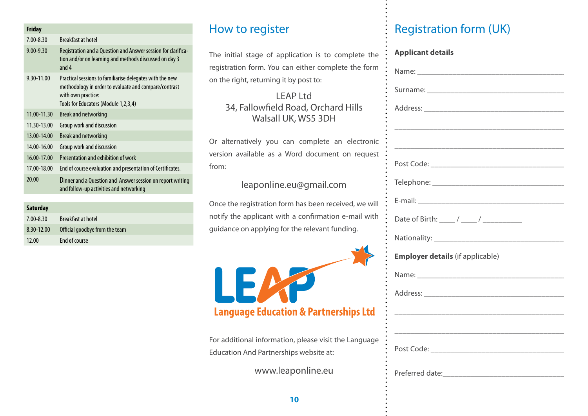| <b>Friday</b> |                                                                                                                                                                                 |
|---------------|---------------------------------------------------------------------------------------------------------------------------------------------------------------------------------|
| $7.00 - 8.30$ | <b>Breakfast at hotel</b>                                                                                                                                                       |
| $9.00 - 9.30$ | Registration and a Question and Answer session for clarifica-<br>tion and/or on learning and methods discussed on day 3<br>and $4$                                              |
| 9.30-11.00    | Practical sessions to familiarise delegates with the new<br>methodology in order to evaluate and compare/contrast<br>with own practice:<br>Tools for Educators (Module 1,2,3,4) |
| 11.00-11.30   | Break and networking                                                                                                                                                            |
| 11.30-13.00   | Group work and discussion                                                                                                                                                       |
| 13.00-14.00   | Break and networking                                                                                                                                                            |
| 14.00-16.00   | Group work and discussion                                                                                                                                                       |
| 16.00-17.00   | Presentation and exhibition of work                                                                                                                                             |
| 17.00-18.00   | End of course evaluation and presentation of Certificates.                                                                                                                      |
| 20.00         | Dinner and a Question and Answer session on report writing<br>and follow-up activities and networking                                                                           |
|               |                                                                                                                                                                                 |

| <b>Saturday</b> |                                |
|-----------------|--------------------------------|
| $7.00 - 8.30$   | Breakfast at hotel             |
| 8.30-12.00      | Official goodbye from the team |
| 12.00           | End of course                  |

#### How to register

#### leaponline.eu@gmail.com



| The initial stage of application is to complete the                                                    | <b>Applicant details</b>                |
|--------------------------------------------------------------------------------------------------------|-----------------------------------------|
| registration form. You can either complete the form                                                    |                                         |
| on the right, returning it by post to:                                                                 |                                         |
| <b>LEAP Ltd</b><br>34, Fallowfield Road, Orchard Hills<br>Walsall UK, WS5 3DH                          |                                         |
| Or alternatively you can complete an electronic                                                        |                                         |
| version available as a Word document on request<br>from:                                               |                                         |
| leaponline.eu@gmail.com                                                                                |                                         |
| Once the registration form has been received, we will                                                  |                                         |
| notify the applicant with a confirmation e-mail with<br>guidance on applying for the relevant funding. |                                         |
|                                                                                                        |                                         |
|                                                                                                        | <b>Employer details</b> (if applicable) |
| LEAP                                                                                                   |                                         |
|                                                                                                        |                                         |
| <b>Language Education &amp; Partnerships Ltd</b>                                                       |                                         |
| For additional information, please visit the Language<br>Education And Partnerships website at:        |                                         |
| www.leaponline.eu                                                                                      |                                         |

# **Registration form (UK)**